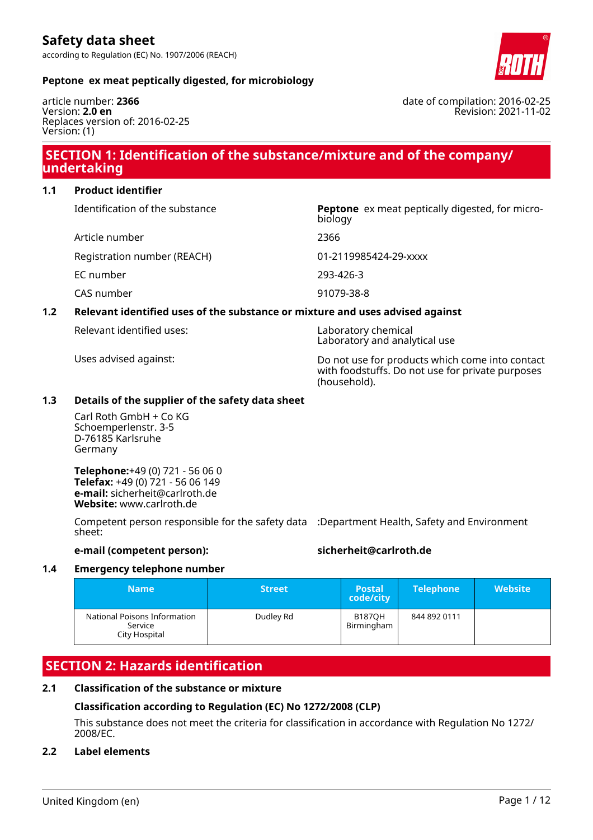

date of compilation: 2016-02-25

Revision: 2021-11-02

# **Peptone ex meat peptically digested, for microbiology**

article number: **2366** Version: **2.0 en** Replaces version of: 2016-02-25 Version: (1)

# **SECTION 1: Identification of the substance/mixture and of the company/ undertaking**

# **1.1 Product identifier**

| Identification of the substance | <b>Peptone</b> ex meat peptically digested, for micro-<br>biology |
|---------------------------------|-------------------------------------------------------------------|
| Article number                  | 2366                                                              |
| Registration number (REACH)     | 01-2119985424-29-xxxx                                             |
| EC number                       | 293-426-3                                                         |
| CAS number                      | 91079-38-8                                                        |
|                                 |                                                                   |

# **1.2 Relevant identified uses of the substance or mixture and uses advised against**

Laboratory chemical Laboratory and analytical use

Uses advised against: Do not use for products which come into contact with foodstuffs. Do not use for private purposes (household).

#### **1.3 Details of the supplier of the safety data sheet**

Carl Roth GmbH + Co KG Schoemperlenstr. 3-5 D-76185 Karlsruhe Germany

**Telephone:**+49 (0) 721 - 56 06 0 **Telefax:** +49 (0) 721 - 56 06 149 **e-mail:** sicherheit@carlroth.de **Website:** www.carlroth.de

Competent person responsible for the safety data :Department Health, Safety and Environment sheet:

# **e-mail (competent person): sicherheit@carlroth.de**

# **1.4 Emergency telephone number**

| <b>Name</b>                                              | <b>Street</b> | <b>Postal</b><br>code/city  | <b>Telephone</b> | <b>Website</b> |
|----------------------------------------------------------|---------------|-----------------------------|------------------|----------------|
| National Poisons Information<br>Service<br>City Hospital | Dudley Rd     | <b>B1870H</b><br>Birmingham | 844 892 0111     |                |

# **SECTION 2: Hazards identification**

# **2.1 Classification of the substance or mixture**

# **Classification according to Regulation (EC) No 1272/2008 (CLP)**

This substance does not meet the criteria for classification in accordance with Regulation No 1272/ 2008/EC.

# **2.2 Label elements**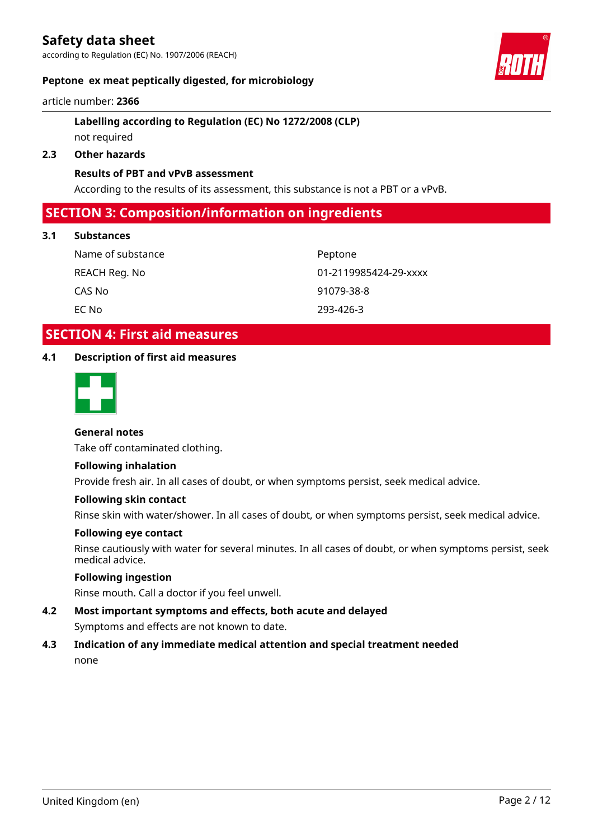according to Regulation (EC) No. 1907/2006 (REACH)

# **Peptone ex meat peptically digested, for microbiology**

article number: **2366**

# **Labelling according to Regulation (EC) No 1272/2008 (CLP)**

# not required

# **2.3 Other hazards**

# **Results of PBT and vPvB assessment**

According to the results of its assessment, this substance is not a PBT or a vPvB.

# **SECTION 3: Composition/information on ingredients**

# **3.1 Substances**

Name of substance **Peptone** CAS No 91079-38-8 EC No 293-426-3

REACH Reg. No 01-2119985424-29-xxxx

# **SECTION 4: First aid measures**

# **4.1 Description of first aid measures**



# **General notes**

Take off contaminated clothing.

# **Following inhalation**

Provide fresh air. In all cases of doubt, or when symptoms persist, seek medical advice.

#### **Following skin contact**

Rinse skin with water/shower. In all cases of doubt, or when symptoms persist, seek medical advice.

#### **Following eye contact**

Rinse cautiously with water for several minutes. In all cases of doubt, or when symptoms persist, seek medical advice.

# **Following ingestion**

Rinse mouth. Call a doctor if you feel unwell.

**4.2 Most important symptoms and effects, both acute and delayed** Symptoms and effects are not known to date.

# **4.3 Indication of any immediate medical attention and special treatment needed** none

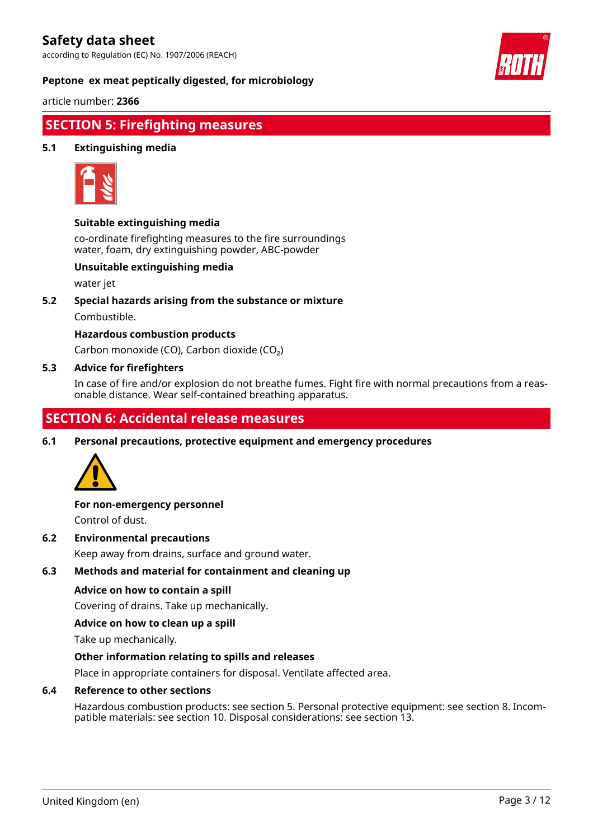according to Regulation (EC) No. 1907/2006 (REACH)



**Peptone ex meat peptically digested, for microbiology**

article number: **2366**

# **SECTION 5: Firefighting measures**

# **5.1 Extinguishing media**



# **Suitable extinguishing media**

co-ordinate firefighting measures to the fire surroundings water, foam, dry extinguishing powder, ABC-powder

# **Unsuitable extinguishing media**

water jet

**5.2 Special hazards arising from the substance or mixture**

Combustible.

# **Hazardous combustion products**

Carbon monoxide (CO), Carbon dioxide (CO₂)

# **5.3 Advice for firefighters**

In case of fire and/or explosion do not breathe fumes. Fight fire with normal precautions from a reasonable distance. Wear self-contained breathing apparatus.

# **SECTION 6: Accidental release measures**

**6.1 Personal precautions, protective equipment and emergency procedures**



# **For non-emergency personnel**

Control of dust.

# **6.2 Environmental precautions**

Keep away from drains, surface and ground water.

# **6.3 Methods and material for containment and cleaning up**

# **Advice on how to contain a spill**

Covering of drains. Take up mechanically.

# **Advice on how to clean up a spill**

Take up mechanically.

# **Other information relating to spills and releases**

Place in appropriate containers for disposal. Ventilate affected area.

# **6.4 Reference to other sections**

Hazardous combustion products: see section 5. Personal protective equipment: see section 8. Incompatible materials: see section 10. Disposal considerations: see section 13.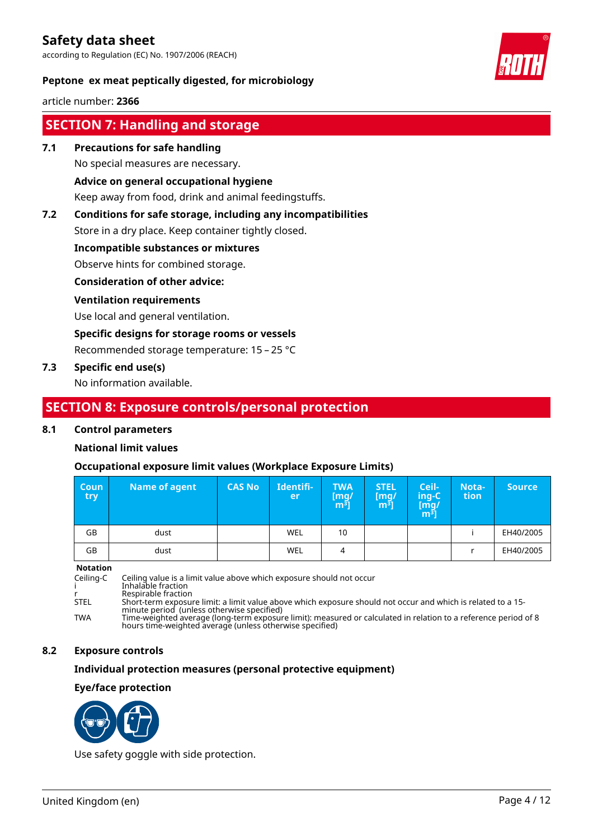according to Regulation (EC) No. 1907/2006 (REACH)



# **Peptone ex meat peptically digested, for microbiology**

article number: **2366**

# **SECTION 7: Handling and storage**

**7.1 Precautions for safe handling**

No special measures are necessary.

# **Advice on general occupational hygiene**

Keep away from food, drink and animal feedingstuffs.

# **7.2 Conditions for safe storage, including any incompatibilities**

Store in a dry place. Keep container tightly closed.

# **Incompatible substances or mixtures**

Observe hints for combined storage.

# **Consideration of other advice:**

# **Ventilation requirements**

Use local and general ventilation.

#### **Specific designs for storage rooms or vessels**

Recommended storage temperature: 15 – 25 °C

# **7.3 Specific end use(s)**

No information available.

# **SECTION 8: Exposure controls/personal protection**

# **8.1 Control parameters**

# **National limit values**

# **Occupational exposure limit values (Workplace Exposure Limits)**

| <b>Coun</b><br><b>try</b> | Name of agent | <b>CAS No</b> | Identifi-<br>er | <b>TWA</b><br>[mg/<br>m <sup>3</sup> | <b>STEL</b><br>[mg]<br>m <sup>3</sup> | Ceil-<br>ing-C<br>[mg]<br>$\overline{m^3}$ | Nota-<br>tion | <b>Source</b> |
|---------------------------|---------------|---------------|-----------------|--------------------------------------|---------------------------------------|--------------------------------------------|---------------|---------------|
| GB                        | dust          |               | WEL             | 10                                   |                                       |                                            |               | EH40/2005     |
| GB                        | dust          |               | WEL             | 4                                    |                                       |                                            |               | EH40/2005     |

#### **Notation**

Ceiling-C Ceiling value is a limit value above which exposure should not occur i Inhalable fraction r Respirable fraction STEL Short-term exposure limit: a limit value above which exposure should not occur and which is related to a 15 minute period (unless otherwise specified) TWA Time-weighted average (long-term exposure limit): measured or calculated in relation to a reference period of 8 hours time-weighted average (unless otherwise specified)

# **8.2 Exposure controls**

# **Individual protection measures (personal protective equipment)**

# **Eye/face protection**



Use safety goggle with side protection.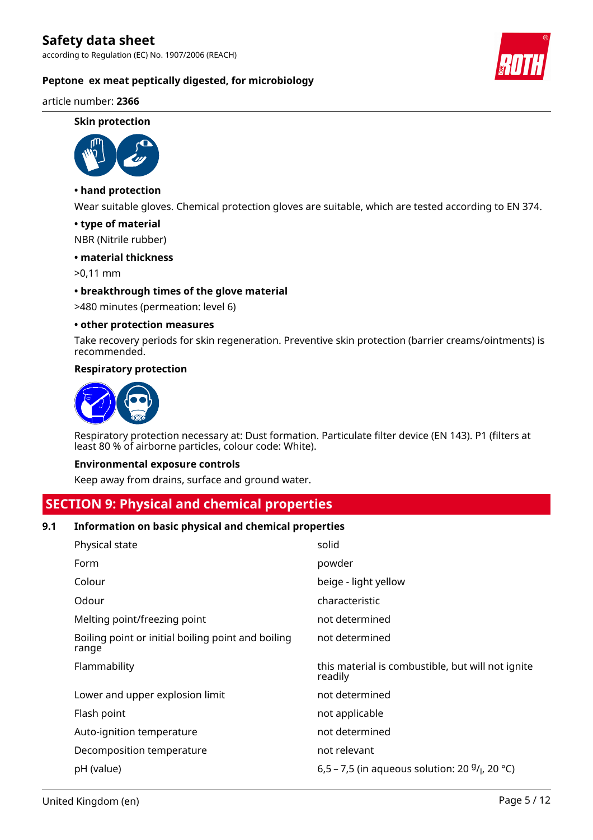according to Regulation (EC) No. 1907/2006 (REACH)

# **Peptone ex meat peptically digested, for microbiology**

article number: **2366**

#### **Skin protection**



# **• hand protection**

Wear suitable gloves. Chemical protection gloves are suitable, which are tested according to EN 374.

#### **• type of material**

NBR (Nitrile rubber)

#### **• material thickness**

>0,11 mm

#### **• breakthrough times of the glove material**

>480 minutes (permeation: level 6)

#### **• other protection measures**

Take recovery periods for skin regeneration. Preventive skin protection (barrier creams/ointments) is recommended.

#### **Respiratory protection**



Respiratory protection necessary at: Dust formation. Particulate filter device (EN 143). P1 (filters at least 80 % of airborne particles, colour code: White).

#### **Environmental exposure controls**

Keep away from drains, surface and ground water.

# **SECTION 9: Physical and chemical properties**

# **9.1 Information on basic physical and chemical properties**

| Physical state                                              | solid                                                        |
|-------------------------------------------------------------|--------------------------------------------------------------|
| Form                                                        | powder                                                       |
| Colour                                                      | beige - light yellow                                         |
| Odour                                                       | characteristic                                               |
| Melting point/freezing point                                | not determined                                               |
| Boiling point or initial boiling point and boiling<br>range | not determined                                               |
| Flammability                                                | this material is combustible, but will not ignite<br>readily |
| Lower and upper explosion limit                             | not determined                                               |
| Flash point                                                 | not applicable                                               |
| Auto-ignition temperature                                   | not determined                                               |
| Decomposition temperature                                   | not relevant                                                 |
| pH (value)                                                  | 6,5 – 7,5 (in aqueous solution: 20 $9/1$ , 20 °C)            |

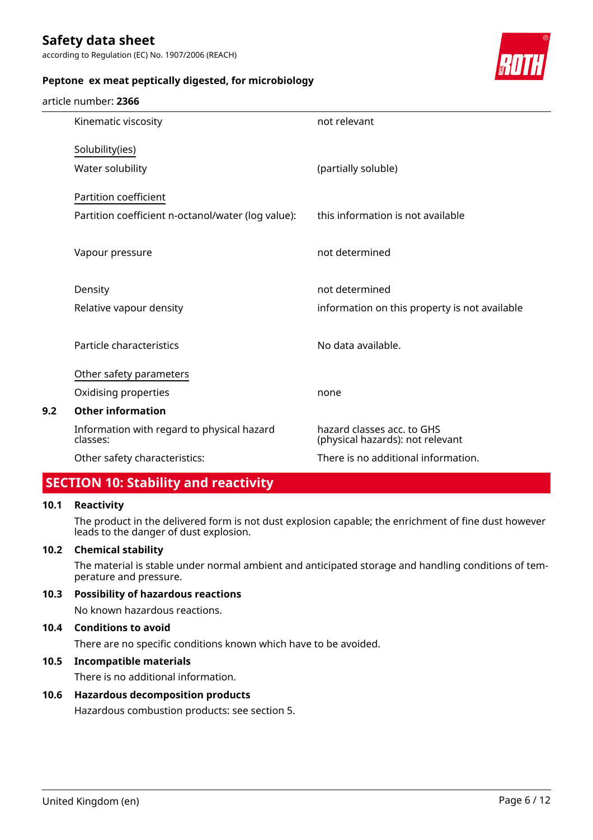according to Regulation (EC) No. 1907/2006 (REACH)



# **Peptone ex meat peptically digested, for microbiology**

#### article number: **2366**

|     | Kinematic viscosity                                    | not relevant                                                   |
|-----|--------------------------------------------------------|----------------------------------------------------------------|
|     | Solubility(ies)                                        |                                                                |
|     | Water solubility                                       | (partially soluble)                                            |
|     | Partition coefficient                                  |                                                                |
|     | Partition coefficient n-octanol/water (log value):     | this information is not available                              |
|     | Vapour pressure                                        | not determined                                                 |
|     | Density                                                | not determined                                                 |
|     | Relative vapour density                                | information on this property is not available                  |
|     | Particle characteristics                               | No data available.                                             |
|     | Other safety parameters                                |                                                                |
|     | Oxidising properties                                   | none                                                           |
| 9.2 | <b>Other information</b>                               |                                                                |
|     | Information with regard to physical hazard<br>classes: | hazard classes acc. to GHS<br>(physical hazards): not relevant |
|     | Other safety characteristics:                          | There is no additional information.                            |
|     |                                                        |                                                                |

# **SECTION 10: Stability and reactivity**

# **10.1 Reactivity**

The product in the delivered form is not dust explosion capable; the enrichment of fine dust however leads to the danger of dust explosion.

# **10.2 Chemical stability**

The material is stable under normal ambient and anticipated storage and handling conditions of temperature and pressure.

# **10.3 Possibility of hazardous reactions**

No known hazardous reactions.

# **10.4 Conditions to avoid**

There are no specific conditions known which have to be avoided.

# **10.5 Incompatible materials**

There is no additional information.

# **10.6 Hazardous decomposition products**

Hazardous combustion products: see section 5.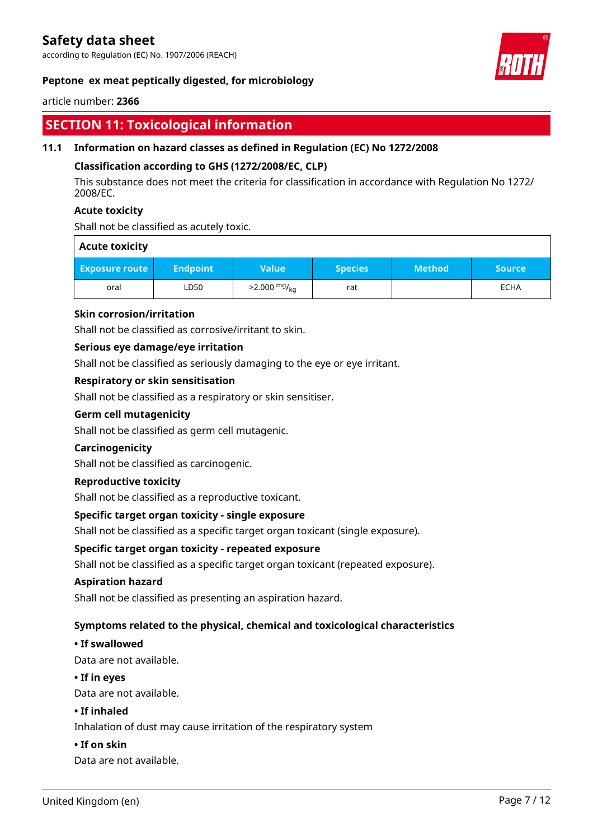according to Regulation (EC) No. 1907/2006 (REACH)



# **Peptone ex meat peptically digested, for microbiology**

article number: **2366**

# **SECTION 11: Toxicological information**

# **11.1 Information on hazard classes as defined in Regulation (EC) No 1272/2008**

# **Classification according to GHS (1272/2008/EC, CLP)**

This substance does not meet the criteria for classification in accordance with Regulation No 1272/ 2008/EC.

# **Acute toxicity**

Shall not be classified as acutely toxic.

# **Acute toxicity**

| <b>Exposure route</b> | ا Endpoint | Value                  | <b>Species</b> | <b>Method</b> | <b>Source</b> |
|-----------------------|------------|------------------------|----------------|---------------|---------------|
| oral                  | LD50       | $>2.000 \frac{mg}{kg}$ | rat            |               | ECHA          |

# **Skin corrosion/irritation**

Shall not be classified as corrosive/irritant to skin.

# **Serious eye damage/eye irritation**

Shall not be classified as seriously damaging to the eye or eye irritant.

# **Respiratory or skin sensitisation**

Shall not be classified as a respiratory or skin sensitiser.

# **Germ cell mutagenicity**

Shall not be classified as germ cell mutagenic.

# **Carcinogenicity**

Shall not be classified as carcinogenic.

# **Reproductive toxicity**

Shall not be classified as a reproductive toxicant.

# **Specific target organ toxicity - single exposure**

Shall not be classified as a specific target organ toxicant (single exposure).

# **Specific target organ toxicity - repeated exposure**

Shall not be classified as a specific target organ toxicant (repeated exposure).

# **Aspiration hazard**

Shall not be classified as presenting an aspiration hazard.

# **Symptoms related to the physical, chemical and toxicological characteristics**

# **• If swallowed**

Data are not available.

# **• If in eyes**

Data are not available.

# **• If inhaled**

Inhalation of dust may cause irritation of the respiratory system

# **• If on skin**

Data are not available.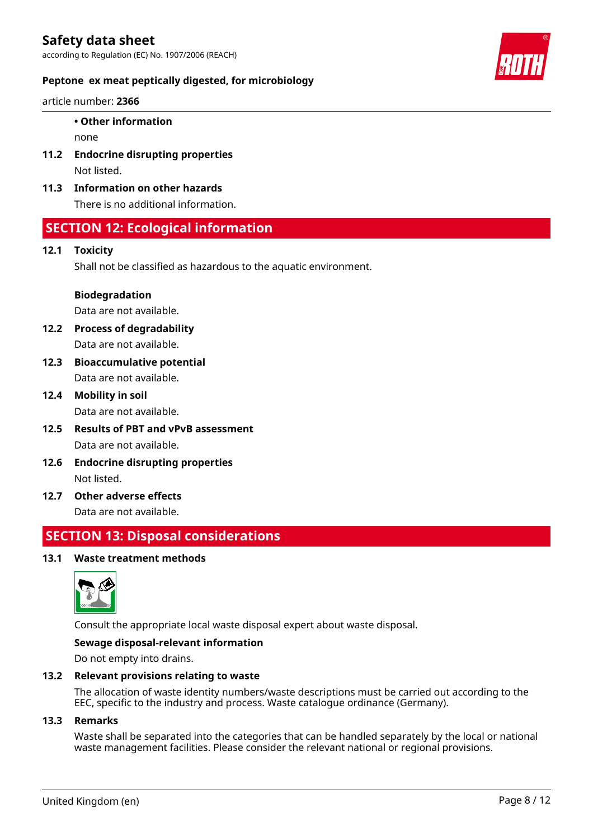according to Regulation (EC) No. 1907/2006 (REACH)



# **Peptone ex meat peptically digested, for microbiology**

article number: **2366**

# **• Other information**

none

- **11.2 Endocrine disrupting properties** Not listed.
- **11.3 Information on other hazards**

There is no additional information.

# **SECTION 12: Ecological information**

# **12.1 Toxicity**

Shall not be classified as hazardous to the aquatic environment.

# **Biodegradation**

Data are not available.

- **12.2 Process of degradability** Data are not available.
- **12.3 Bioaccumulative potential** Data are not available.
- **12.4 Mobility in soil** Data are not available.
- **12.5 Results of PBT and vPvB assessment** Data are not available.
- **12.6 Endocrine disrupting properties** Not listed.
- **12.7 Other adverse effects** Data are not available.

# **SECTION 13: Disposal considerations**

# **13.1 Waste treatment methods**



Consult the appropriate local waste disposal expert about waste disposal.

# **Sewage disposal-relevant information**

Do not empty into drains.

# **13.2 Relevant provisions relating to waste**

The allocation of waste identity numbers/waste descriptions must be carried out according to the EEC, specific to the industry and process. Waste catalogue ordinance (Germany).

# **13.3 Remarks**

Waste shall be separated into the categories that can be handled separately by the local or national waste management facilities. Please consider the relevant national or regional provisions.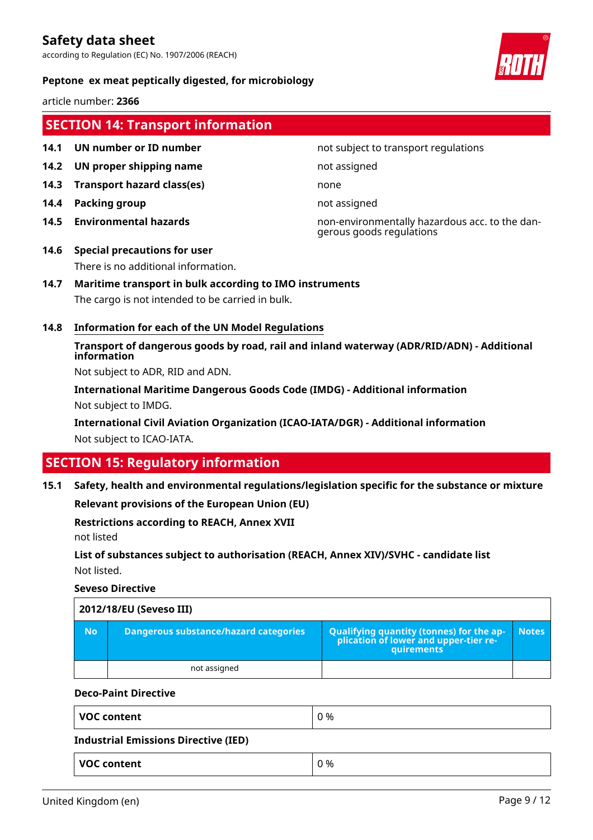according to Regulation (EC) No. 1907/2006 (REACH)



# **Peptone ex meat peptically digested, for microbiology**

article number: **2366**

# **SECTION 14: Transport information**

- 
- **14.2 UN proper shipping name** not assigned
- **14.3 Transport hazard class(es)** none
- **14.4 Packing group not assigned**
- 

#### **14.1 UN number or ID number not subject to transport regulations**

**14.5 Environmental hazards** non-environmentally hazardous acc. to the dangerous goods regulations

# **14.6 Special precautions for user** There is no additional information.

# **14.7 Maritime transport in bulk according to IMO instruments**

The cargo is not intended to be carried in bulk.

# **14.8 Information for each of the UN Model Regulations**

**Transport of dangerous goods by road, rail and inland waterway (ADR/RID/ADN) - Additional information**

Not subject to ADR, RID and ADN.

**International Maritime Dangerous Goods Code (IMDG) - Additional information** Not subject to IMDG.

**International Civil Aviation Organization (ICAO-IATA/DGR) - Additional information** Not subject to ICAO-IATA.

# **SECTION 15: Regulatory information**

**15.1 Safety, health and environmental regulations/legislation specific for the substance or mixture**

**Relevant provisions of the European Union (EU)**

**Restrictions according to REACH, Annex XVII**

not listed

**List of substances subject to authorisation (REACH, Annex XIV)/SVHC - candidate list** Not listed.

# **Seveso Directive**

| 2012/18/EU (Seveso III) |                                              |                                                                                                   |              |  |
|-------------------------|----------------------------------------------|---------------------------------------------------------------------------------------------------|--------------|--|
| <b>No</b>               | <b>Dangerous substance/hazard categories</b> | Qualifying quantity (tonnes) for the application of lower and upper-tier re-<br><b>auirements</b> | <b>Notes</b> |  |
|                         | not assigned                                 |                                                                                                   |              |  |

# **Deco-Paint Directive**

| <b>VOC content</b>                          | 0 % |  |
|---------------------------------------------|-----|--|
| <b>Industrial Emissions Directive (IED)</b> |     |  |
| <b>VOC content</b>                          | 0 % |  |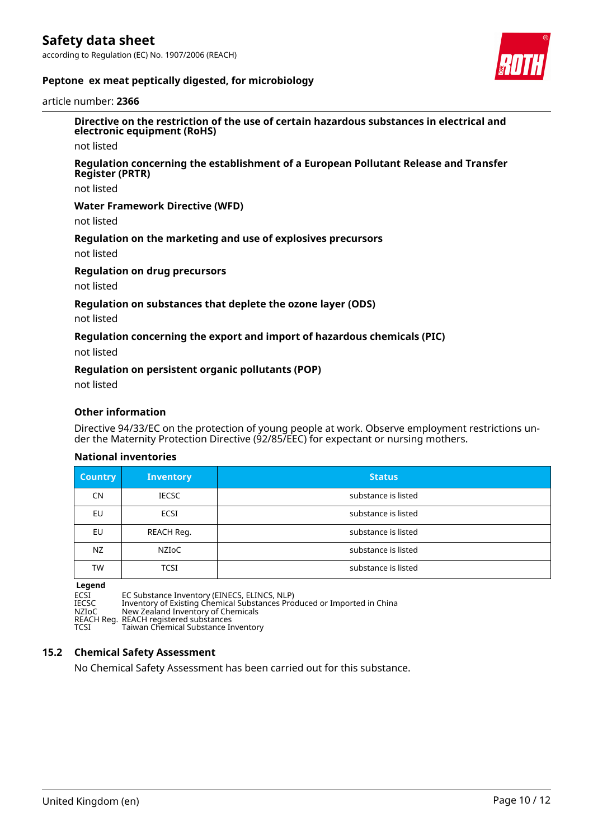according to Regulation (EC) No. 1907/2006 (REACH)



# **Peptone ex meat peptically digested, for microbiology**

article number: **2366**

**Directive on the restriction of the use of certain hazardous substances in electrical and electronic equipment (RoHS)**

not listed

#### **Regulation concerning the establishment of a European Pollutant Release and Transfer Register (PRTR)**

not listed

#### **Water Framework Directive (WFD)**

not listed

#### **Regulation on the marketing and use of explosives precursors**

not listed

#### **Regulation on drug precursors**

not listed

#### **Regulation on substances that deplete the ozone layer (ODS)**

not listed

#### **Regulation concerning the export and import of hazardous chemicals (PIC)**

not listed

#### **Regulation on persistent organic pollutants (POP)**

not listed

# **Other information**

Directive 94/33/EC on the protection of young people at work. Observe employment restrictions under the Maternity Protection Directive (92/85/EEC) for expectant or nursing mothers.

#### **National inventories**

| <b>Country</b> | Inventory    | <b>Status</b>       |
|----------------|--------------|---------------------|
| CN             | <b>IECSC</b> | substance is listed |
| EU             | ECSI         | substance is listed |
| <b>EU</b>      | REACH Reg.   | substance is listed |
| NZ             | NZIOC        | substance is listed |
| <b>TW</b>      | TCSI         | substance is listed |

#### **Legend**

ECSI EC Substance Inventory (EINECS, ELINCS, NLP)

IECSC Inventory of Existing Chemical Substances Produced or Imported in China

NZIoC New Zealand Inventory of Chemicals

REACH Reg. REACH registered substances TCSI Taiwan Chemical Substance Inventory

# **15.2 Chemical Safety Assessment**

No Chemical Safety Assessment has been carried out for this substance.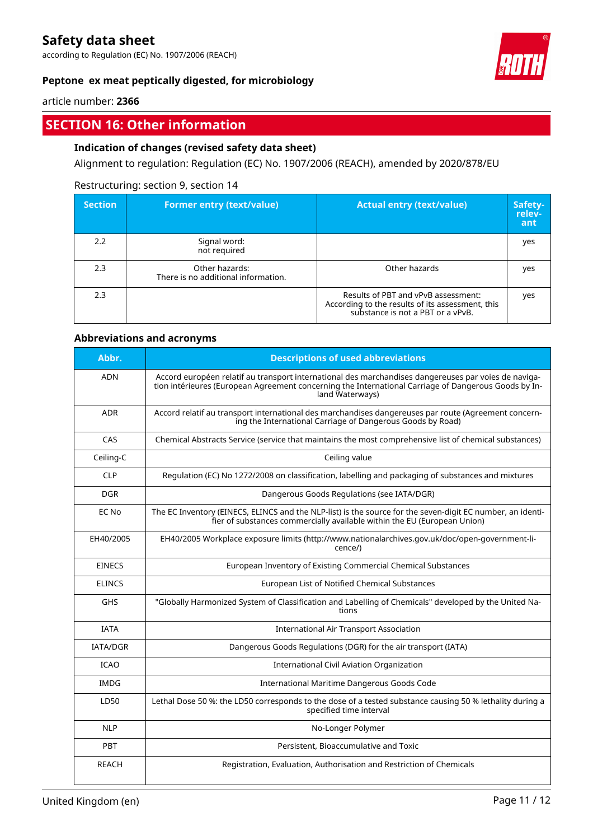according to Regulation (EC) No. 1907/2006 (REACH)



# **Peptone ex meat peptically digested, for microbiology**

article number: **2366**

# **SECTION 16: Other information**

# **Indication of changes (revised safety data sheet)**

Alignment to regulation: Regulation (EC) No. 1907/2006 (REACH), amended by 2020/878/EU

# Restructuring: section 9, section 14

| <b>Section</b> | <b>Former entry (text/value)</b>                      | <b>Actual entry (text/value)</b>                                                                                             | Safety-<br>relev-<br>ant |
|----------------|-------------------------------------------------------|------------------------------------------------------------------------------------------------------------------------------|--------------------------|
| 2.2            | Signal word:<br>not required                          |                                                                                                                              | yes                      |
| 2.3            | Other hazards:<br>There is no additional information. | Other hazards                                                                                                                | yes                      |
| 2.3            |                                                       | Results of PBT and vPvB assessment:<br>According to the results of its assessment, this<br>substance is not a PBT or a vPvB. | yes                      |

# **Abbreviations and acronyms**

| Abbr.           | <b>Descriptions of used abbreviations</b>                                                                                                                                                                                       |
|-----------------|---------------------------------------------------------------------------------------------------------------------------------------------------------------------------------------------------------------------------------|
| <b>ADN</b>      | Accord européen relatif au transport international des marchandises dangereuses par voies de naviga-<br>tion intérieures (European Agreement concerning the International Carriage of Dangerous Goods by In-<br>land Waterways) |
| <b>ADR</b>      | Accord relatif au transport international des marchandises dangereuses par route (Agreement concern-<br>ing the International Carriage of Dangerous Goods by Road)                                                              |
| CAS             | Chemical Abstracts Service (service that maintains the most comprehensive list of chemical substances)                                                                                                                          |
| Ceiling-C       | Ceiling value                                                                                                                                                                                                                   |
| <b>CLP</b>      | Regulation (EC) No 1272/2008 on classification, labelling and packaging of substances and mixtures                                                                                                                              |
| <b>DGR</b>      | Dangerous Goods Regulations (see IATA/DGR)                                                                                                                                                                                      |
| EC No           | The EC Inventory (EINECS, ELINCS and the NLP-list) is the source for the seven-digit EC number, an identi-<br>fier of substances commercially available within the EU (European Union)                                          |
| EH40/2005       | EH40/2005 Workplace exposure limits (http://www.nationalarchives.gov.uk/doc/open-government-li-<br>cence/)                                                                                                                      |
| <b>EINECS</b>   | European Inventory of Existing Commercial Chemical Substances                                                                                                                                                                   |
| <b>ELINCS</b>   | European List of Notified Chemical Substances                                                                                                                                                                                   |
| <b>GHS</b>      | "Globally Harmonized System of Classification and Labelling of Chemicals" developed by the United Na-<br>tions                                                                                                                  |
| <b>IATA</b>     | <b>International Air Transport Association</b>                                                                                                                                                                                  |
| <b>IATA/DGR</b> | Dangerous Goods Regulations (DGR) for the air transport (IATA)                                                                                                                                                                  |
| <b>ICAO</b>     | <b>International Civil Aviation Organization</b>                                                                                                                                                                                |
| <b>IMDG</b>     | International Maritime Dangerous Goods Code                                                                                                                                                                                     |
| LD50            | Lethal Dose 50 %: the LD50 corresponds to the dose of a tested substance causing 50 % lethality during a<br>specified time interval                                                                                             |
| <b>NLP</b>      | No-Longer Polymer                                                                                                                                                                                                               |
| PBT             | Persistent, Bioaccumulative and Toxic                                                                                                                                                                                           |
| <b>REACH</b>    | Registration, Evaluation, Authorisation and Restriction of Chemicals                                                                                                                                                            |